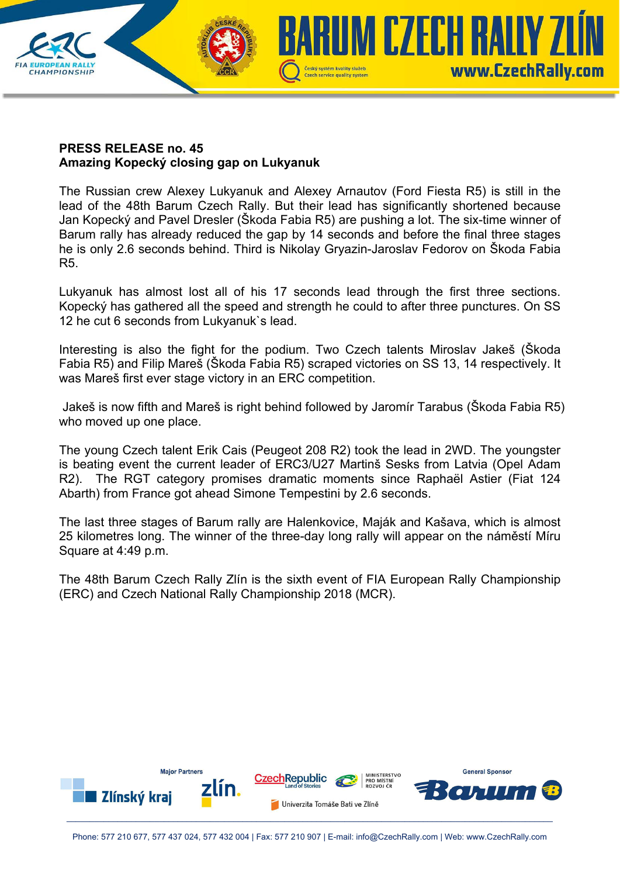## UM CZECH RAILY Z www.CzechRally.com **CHAMPIONSHIP** Czech service quality system

## **PRESS RELEASE no. 45 Amazing Kopecký closing gap on Lukyanuk**

The Russian crew Alexey Lukyanuk and Alexey Arnautov (Ford Fiesta R5) is still in the lead of the 48th Barum Czech Rally. But their lead has significantly shortened because Jan Kopecký and Pavel Dresler (Škoda Fabia R5) are pushing a lot. The six-time winner of Barum rally has already reduced the gap by 14 seconds and before the final three stages he is only 2.6 seconds behind. Third is Nikolay Gryazin-Jaroslav Fedorov on Škoda Fabia R5.

Lukyanuk has almost lost all of his 17 seconds lead through the first three sections. Kopecký has gathered all the speed and strength he could to after three punctures. On SS 12 he cut 6 seconds from Lukyanuk`s lead.

Interesting is also the fight for the podium. Two Czech talents Miroslav Jakeš (Škoda Fabia R5) and Filip Mareš (Škoda Fabia R5) scraped victories on SS 13, 14 respectively. It was Mareš first ever stage victory in an ERC competition.

 Jakeš is now fifth and Mareš is right behind followed by Jaromír Tarabus (Škoda Fabia R5) who moved up one place.

The young Czech talent Erik Cais (Peugeot 208 R2) took the lead in 2WD. The youngster is beating event the current leader of ERC3/U27 Martinš Sesks from Latvia (Opel Adam R2). The RGT category promises dramatic moments since Raphaël Astier (Fiat 124 Abarth) from France got ahead Simone Tempestini by 2.6 seconds.

The last three stages of Barum rally are Halenkovice, Maják and Kašava, which is almost 25 kilometres long. The winner of the three-day long rally will appear on the náměstí Míru Square at 4:49 p.m.

The 48th Barum Czech Rally Zlín is the sixth event of FIA European Rally Championship (ERC) and Czech National Rally Championship 2018 (MCR).